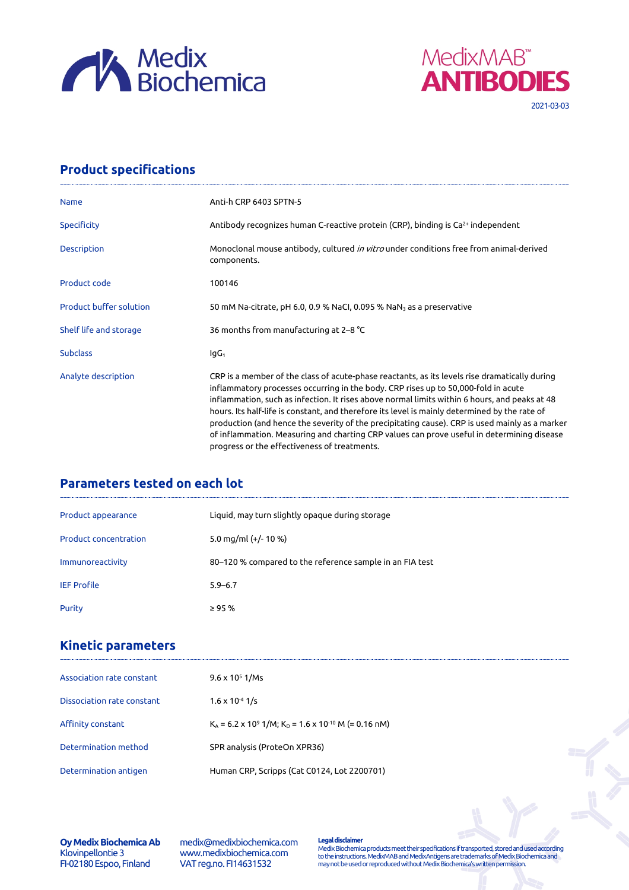



# **Product specifications**

| <b>Name</b>                    | Anti-h CRP 6403 SPTN-5                                                                                                                                                                                                                                                                                                                                                                                                                                                                                                                                                                                                                |
|--------------------------------|---------------------------------------------------------------------------------------------------------------------------------------------------------------------------------------------------------------------------------------------------------------------------------------------------------------------------------------------------------------------------------------------------------------------------------------------------------------------------------------------------------------------------------------------------------------------------------------------------------------------------------------|
| <b>Specificity</b>             | Antibody recognizes human C-reactive protein (CRP), binding is Ca <sup>2+</sup> independent                                                                                                                                                                                                                                                                                                                                                                                                                                                                                                                                           |
| <b>Description</b>             | Monoclonal mouse antibody, cultured <i>in vitro</i> under conditions free from animal-derived<br>components.                                                                                                                                                                                                                                                                                                                                                                                                                                                                                                                          |
| Product code                   | 100146                                                                                                                                                                                                                                                                                                                                                                                                                                                                                                                                                                                                                                |
| <b>Product buffer solution</b> | 50 mM Na-citrate, pH 6.0, 0.9 % NaCl, 0.095 % NaN <sub>3</sub> as a preservative                                                                                                                                                                                                                                                                                                                                                                                                                                                                                                                                                      |
| Shelf life and storage         | 36 months from manufacturing at 2-8 °C                                                                                                                                                                                                                                                                                                                                                                                                                                                                                                                                                                                                |
| <b>Subclass</b>                | lgG <sub>1</sub>                                                                                                                                                                                                                                                                                                                                                                                                                                                                                                                                                                                                                      |
| Analyte description            | CRP is a member of the class of acute-phase reactants, as its levels rise dramatically during<br>inflammatory processes occurring in the body. CRP rises up to 50,000-fold in acute<br>inflammation, such as infection. It rises above normal limits within 6 hours, and peaks at 48<br>hours. Its half-life is constant, and therefore its level is mainly determined by the rate of<br>production (and hence the severity of the precipitating cause). CRP is used mainly as a marker<br>of inflammation. Measuring and charting CRP values can prove useful in determining disease<br>progress or the effectiveness of treatments. |

# **Parameters tested on each lot**

| Product appearance           | Liquid, may turn slightly opaque during storage          |
|------------------------------|----------------------------------------------------------|
| <b>Product concentration</b> | 5.0 mg/ml $(+/- 10 %$                                    |
| Immunoreactivity             | 80–120 % compared to the reference sample in an FIA test |
| <b>IEF Profile</b>           | $5.9 - 6.7$                                              |
| Purity                       | $\geq$ 95 %                                              |

## **Kinetic parameters**

| Association rate constant  | $9.6 \times 10^5$ 1/Ms                                                           |
|----------------------------|----------------------------------------------------------------------------------|
| Dissociation rate constant | $1.6 \times 10^{-4}$ 1/s                                                         |
| Affinity constant          | $K_a$ = 6.2 x 10 <sup>9</sup> 1/M; $K_p$ = 1.6 x 10 <sup>-10</sup> M (= 0.16 nM) |
| Determination method       | SPR analysis (ProteOn XPR36)                                                     |
| Determination antigen      | Human CRP, Scripps (Cat C0124, Lot 2200701)                                      |

#### **Oy Medix Biochemica Ab** Klovinpellontie 3 FI-02180 Espoo, Finland

medix@medixbiochemica.com www.medixbiochemica.com VAT reg.no. FI14631532

**Legal disclaimer** Medix Biochemica products meet their specifications if transported, stored and used according to the instructions. MedixMAB and MedixAntigens are trademarks of Medix Biochemica and may not be used or reproduced without Medix Biochemica's written permission.